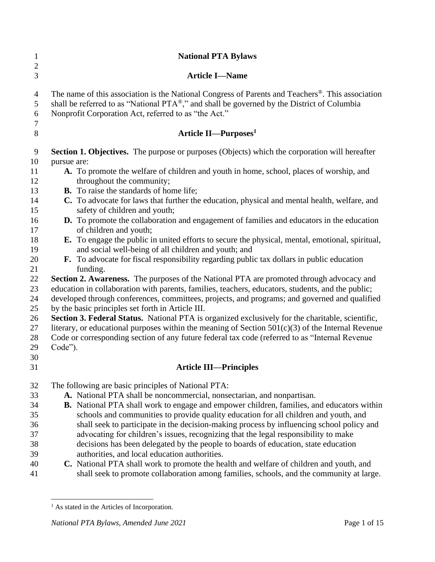| $\mathbf{1}$<br>$\boldsymbol{2}$   | <b>National PTA Bylaws</b>                                                                                                                                                                                                                                          |
|------------------------------------|---------------------------------------------------------------------------------------------------------------------------------------------------------------------------------------------------------------------------------------------------------------------|
| 3                                  | <b>Article I-Name</b>                                                                                                                                                                                                                                               |
| $\overline{4}$<br>5<br>6<br>$\tau$ | The name of this association is the National Congress of Parents and Teachers <sup>®</sup> . This association<br>shall be referred to as "National PTA®," and shall be governed by the District of Columbia<br>Nonprofit Corporation Act, referred to as "the Act." |
| 8                                  | Article II—Purposes <sup>1</sup>                                                                                                                                                                                                                                    |
| 9                                  | <b>Section 1. Objectives.</b> The purpose or purposes (Objects) which the corporation will hereafter                                                                                                                                                                |
| 10                                 | pursue are:                                                                                                                                                                                                                                                         |
| 11<br>12                           | A. To promote the welfare of children and youth in home, school, places of worship, and<br>throughout the community;                                                                                                                                                |
| 13                                 | <b>B.</b> To raise the standards of home life;                                                                                                                                                                                                                      |
| 14<br>15                           | C. To advocate for laws that further the education, physical and mental health, welfare, and<br>safety of children and youth;                                                                                                                                       |
|                                    |                                                                                                                                                                                                                                                                     |
| 16<br>17                           | D. To promote the collaboration and engagement of families and educators in the education<br>of children and youth;                                                                                                                                                 |
| 18                                 | E. To engage the public in united efforts to secure the physical, mental, emotional, spiritual,                                                                                                                                                                     |
| 19                                 | and social well-being of all children and youth; and                                                                                                                                                                                                                |
| 20                                 | <b>F.</b> To advocate for fiscal responsibility regarding public tax dollars in public education                                                                                                                                                                    |
| 21                                 | funding.                                                                                                                                                                                                                                                            |
| 22                                 | Section 2. Awareness. The purposes of the National PTA are promoted through advocacy and                                                                                                                                                                            |
| 23                                 | education in collaboration with parents, families, teachers, educators, students, and the public;                                                                                                                                                                   |
| 24                                 | developed through conferences, committees, projects, and programs; and governed and qualified                                                                                                                                                                       |
| 25                                 | by the basic principles set forth in Article III.                                                                                                                                                                                                                   |
| 26                                 | Section 3. Federal Status. National PTA is organized exclusively for the charitable, scientific,                                                                                                                                                                    |
| 27                                 | literary, or educational purposes within the meaning of Section $501(c)(3)$ of the Internal Revenue                                                                                                                                                                 |
| 28                                 | Code or corresponding section of any future federal tax code (referred to as "Internal Revenue                                                                                                                                                                      |
| 29<br>30                           | Code").                                                                                                                                                                                                                                                             |
| 31                                 | <b>Article III—Principles</b>                                                                                                                                                                                                                                       |
| 32                                 | The following are basic principles of National PTA:                                                                                                                                                                                                                 |
| 33                                 | A. National PTA shall be noncommercial, nonsectarian, and nonpartisan.                                                                                                                                                                                              |
| 34                                 | B. National PTA shall work to engage and empower children, families, and educators within                                                                                                                                                                           |
| 35                                 | schools and communities to provide quality education for all children and youth, and                                                                                                                                                                                |
| 36                                 | shall seek to participate in the decision-making process by influencing school policy and                                                                                                                                                                           |
| 37                                 | advocating for children's issues, recognizing that the legal responsibility to make                                                                                                                                                                                 |
| 38                                 | decisions has been delegated by the people to boards of education, state education                                                                                                                                                                                  |
| 39                                 | authorities, and local education authorities.                                                                                                                                                                                                                       |
| 40                                 | C. National PTA shall work to promote the health and welfare of children and youth, and                                                                                                                                                                             |
| 41                                 | shall seek to promote collaboration among families, schools, and the community at large.                                                                                                                                                                            |

<sup>&</sup>lt;sup>1</sup> As stated in the Articles of Incorporation.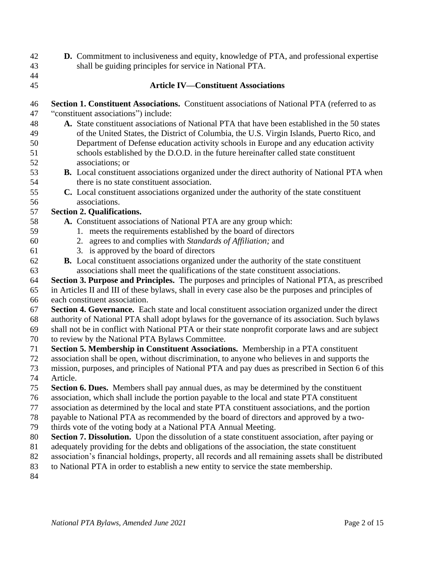- **D.** Commitment to inclusiveness and equity, knowledge of PTA, and professional expertise shall be guiding principles for service in National PTA.
- 

### **Article IV—Constituent Associations**

- **Section 1. Constituent Associations.** Constituent associations of National PTA (referred to as "constituent associations") include:
- **A.** State constituent associations of National PTA that have been established in the 50 states of the United States, the District of Columbia, the U.S. Virgin Islands, Puerto Rico, and Department of Defense education activity schools in Europe and any education activity schools established by the D.O.D. in the future hereinafter called state constituent associations; or
- **B.** Local constituent associations organized under the direct authority of National PTA when there is no state constituent association.
- **C.** Local constituent associations organized under the authority of the state constituent associations.

#### **Section 2. Qualifications.**

- **A.** Constituent associations of National PTA are any group which:
- 1. meets the requirements established by the board of directors
- 2. agrees to and complies with *Standards of Affiliation;* and
- 3. is approved by the board of directors
- **B.** Local constituent associations organized under the authority of the state constituent associations shall meet the qualifications of the state constituent associations.
- **Section 3. Purpose and Principles.** The purposes and principles of National PTA, as prescribed
- in Articles II and III of these bylaws, shall in every case also be the purposes and principles of each constituent association.
- **Section 4. Governance.** Each state and local constituent association organized under the direct
- authority of National PTA shall adopt bylaws for the governance of its association. Such bylaws
- shall not be in conflict with National PTA or their state nonprofit corporate laws and are subject
- to review by the National PTA Bylaws Committee.
- **Section 5. Membership in Constituent Associations.** Membership in a PTA constituent
- association shall be open, without discrimination, to anyone who believes in and supports the
- mission, purposes, and principles of National PTA and pay dues as prescribed in Section 6 of this Article.
- **Section 6. Dues.** Members shall pay annual dues, as may be determined by the constituent
- association, which shall include the portion payable to the local and state PTA constituent
- association as determined by the local and state PTA constituent associations, and the portion
- payable to National PTA as recommended by the board of directors and approved by a two-
- thirds vote of the voting body at a National PTA Annual Meeting.
- **Section 7. Dissolution.** Upon the dissolution of a state constituent association, after paying or
- adequately providing for the debts and obligations of the association, the state constituent
- association's financial holdings, property, all records and all remaining assets shall be distributed
- to National PTA in order to establish a new entity to service the state membership.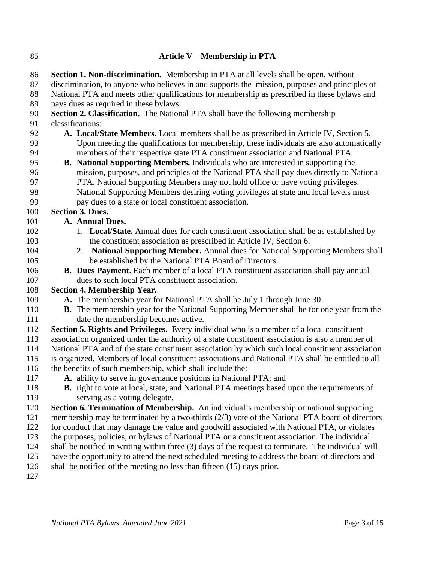**Article V—Membership in PTA Section 1. Non-discrimination.** Membership in PTA at all levels shall be open, without discrimination, to anyone who believes in and supports the mission, purposes and principles of National PTA and meets other qualifications for membership as prescribed in these bylaws and pays dues as required in these bylaws. **Section 2. Classification.** The National PTA shall have the following membership classifications: **A. Local/State Members.** Local members shall be as prescribed in Article IV, Section 5. Upon meeting the qualifications for membership, these individuals are also automatically members of their respective state PTA constituent association and National PTA. **B. National Supporting Members.** Individuals who are interested in supporting the mission, purposes, and principles of the National PTA shall pay dues directly to National PTA. National Supporting Members may not hold office or have voting privileges. National Supporting Members desiring voting privileges at state and local levels must pay dues to a state or local constituent association. **Section 3. Dues. A. Annual Dues.** 1. **Local/State.** Annual dues for each constituent association shall be as established by the constituent association as prescribed in Article IV, Section 6. 2. **National Supporting Member.** Annual dues for National Supporting Members shall be established by the National PTA Board of Directors. **B. Dues Payment**. Each member of a local PTA constituent association shall pay annual dues to such local PTA constituent association. **Section 4. Membership Year. A.** The membership year for National PTA shall be July 1 through June 30. **B.** The membership year for the National Supporting Member shall be for one year from the date the membership becomes active. **Section 5. Rights and Privileges.** Every individual who is a member of a local constituent association organized under the authority of a state constituent association is also a member of National PTA and of the state constituent association by which such local constituent association is organized. Members of local constituent associations and National PTA shall be entitled to all the benefits of such membership, which shall include the: **A.** ability to serve in governance positions in National PTA; and **B.** right to vote at local, state, and National PTA meetings based upon the requirements of serving as a voting delegate. **Section 6. Termination of Membership.** An individual's membership or national supporting membership may be terminated by a two-thirds (2/3) vote of the National PTA board of directors for conduct that may damage the value and goodwill associated with National PTA, or violates the purposes, policies, or bylaws of National PTA or a constituent association. The individual shall be notified in writing within three (3) days of the request to terminate. The individual will have the opportunity to attend the next scheduled meeting to address the board of directors and shall be notified of the meeting no less than fifteen (15) days prior.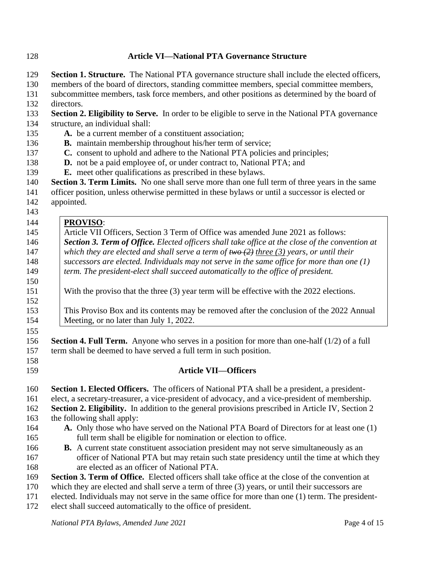## **Article VI—National PTA Governance Structure**

| 129 | Section 1. Structure. The National PTA governance structure shall include the elected officers,          |
|-----|----------------------------------------------------------------------------------------------------------|
| 130 | members of the board of directors, standing committee members, special committee members,                |
| 131 | subcommittee members, task force members, and other positions as determined by the board of              |
| 132 | directors.                                                                                               |
| 133 | Section 2. Eligibility to Serve. In order to be eligible to serve in the National PTA governance         |
| 134 | structure, an individual shall:                                                                          |
| 135 | A. be a current member of a constituent association;                                                     |
| 136 | <b>B.</b> maintain membership throughout his/her term of service;                                        |
| 137 | C. consent to uphold and adhere to the National PTA policies and principles;                             |
| 138 | D. not be a paid employee of, or under contract to, National PTA; and                                    |
| 139 | <b>E.</b> meet other qualifications as prescribed in these bylaws.                                       |
| 140 | Section 3. Term Limits. No one shall serve more than one full term of three years in the same            |
| 141 | officer position, unless otherwise permitted in these bylaws or until a successor is elected or          |
| 142 | appointed.                                                                                               |
| 143 |                                                                                                          |
| 144 | <b>PROVISO:</b>                                                                                          |
| 145 | Article VII Officers, Section 3 Term of Office was amended June 2021 as follows:                         |
| 146 | <b>Section 3. Term of Office.</b> Elected officers shall take office at the close of the convention at   |
| 147 | which they are elected and shall serve a term of $two(2)$ three (3) years, or until their                |
| 148 | successors are elected. Individuals may not serve in the same office for more than one $(1)$             |
| 149 | term. The president-elect shall succeed automatically to the office of president.                        |
| 150 |                                                                                                          |
| 151 | With the proviso that the three (3) year term will be effective with the 2022 elections.                 |
| 152 |                                                                                                          |
| 153 | This Proviso Box and its contents may be removed after the conclusion of the 2022 Annual                 |
| 154 | Meeting, or no later than July 1, 2022.                                                                  |
| 155 |                                                                                                          |
| 156 | <b>Section 4. Full Term.</b> Anyone who serves in a position for more than one-half $(1/2)$ of a full    |
| 157 | term shall be deemed to have served a full term in such position.                                        |
| 158 |                                                                                                          |
| 159 | <b>Article VII-Officers</b>                                                                              |
| 160 | <b>Section 1. Elected Officers.</b> The officers of National PTA shall be a president, a president-      |
| 161 | elect, a secretary-treasurer, a vice-president of advocacy, and a vice-president of membership.          |
| 162 | <b>Section 2. Eligibility.</b> In addition to the general provisions prescribed in Article IV, Section 2 |
| 163 | the following shall apply:                                                                               |
| 164 | A. Only those who have served on the National PTA Board of Directors for at least one (1)                |
| 165 | full term shall be eligible for nomination or election to office.                                        |
| 166 | <b>B.</b> A current state constituent association president may not serve simultaneously as an           |
| 167 | officer of National PTA but may retain such state presidency until the time at which they                |
| 168 | are elected as an officer of National PTA.                                                               |
| 169 | Section 3. Term of Office. Elected officers shall take office at the close of the convention at          |
| 170 | which they are elected and shall serve a term of three (3) years, or until their successors are          |
| 171 | elected. Individuals may not serve in the same office for more than one (1) term. The president-         |
| 172 | elect shall succeed automatically to the office of president.                                            |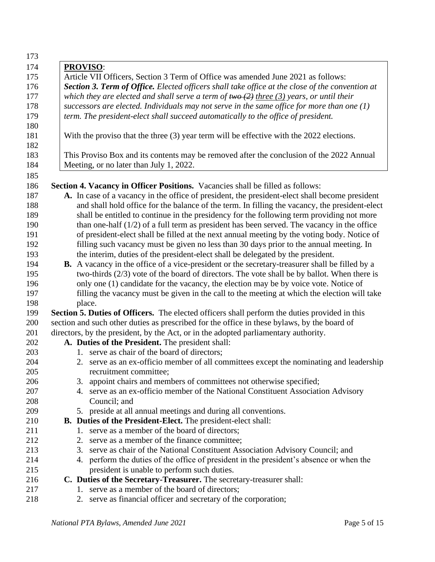| 173 |                                                                                                        |
|-----|--------------------------------------------------------------------------------------------------------|
| 174 | <b>PROVISO:</b>                                                                                        |
| 175 | Article VII Officers, Section 3 Term of Office was amended June 2021 as follows:                       |
| 176 | <b>Section 3. Term of Office.</b> Elected officers shall take office at the close of the convention at |
| 177 | which they are elected and shall serve a term of $two (2)$ three (3) years, or until their             |
| 178 | successors are elected. Individuals may not serve in the same office for more than one $(1)$           |
| 179 | term. The president-elect shall succeed automatically to the office of president.                      |
| 180 |                                                                                                        |
| 181 | With the proviso that the three (3) year term will be effective with the 2022 elections.               |
| 182 |                                                                                                        |
| 183 | This Proviso Box and its contents may be removed after the conclusion of the 2022 Annual               |
| 184 | Meeting, or no later than July 1, 2022.                                                                |
| 185 |                                                                                                        |
| 186 | Section 4. Vacancy in Officer Positions. Vacancies shall be filled as follows:                         |
| 187 | A. In case of a vacancy in the office of president, the president-elect shall become president         |
| 188 | and shall hold office for the balance of the term. In filling the vacancy, the president-elect         |
| 189 | shall be entitled to continue in the presidency for the following term providing not more              |
| 190 | than one-half $(1/2)$ of a full term as president has been served. The vacancy in the office           |
| 191 | of president-elect shall be filled at the next annual meeting by the voting body. Notice of            |
| 192 | filling such vacancy must be given no less than 30 days prior to the annual meeting. In                |
| 193 | the interim, duties of the president-elect shall be delegated by the president.                        |
| 194 | <b>B.</b> A vacancy in the office of a vice-president or the secretary-treasurer shall be filled by a  |
| 195 | two-thirds $(2/3)$ vote of the board of directors. The vote shall be by ballot. When there is          |
| 196 | only one (1) candidate for the vacancy, the election may be by voice vote. Notice of                   |
| 197 | filling the vacancy must be given in the call to the meeting at which the election will take           |
| 198 | place.                                                                                                 |
| 199 | Section 5. Duties of Officers. The elected officers shall perform the duties provided in this          |
| 200 | section and such other duties as prescribed for the office in these bylaws, by the board of            |
| 201 | directors, by the president, by the Act, or in the adopted parliamentary authority.                    |
| 202 | A. Duties of the President. The president shall:                                                       |
| 203 | 1. serve as chair of the board of directors;                                                           |
| 204 | 2. serve as an ex-officio member of all committees except the nominating and leadership                |
| 205 | recruitment committee;                                                                                 |
| 206 | 3. appoint chairs and members of committees not otherwise specified;                                   |
| 207 | 4. serve as an ex-officio member of the National Constituent Association Advisory                      |
| 208 | Council; and                                                                                           |
| 209 | 5. preside at all annual meetings and during all conventions.                                          |
| 210 | <b>B.</b> Duties of the President-Elect. The president-elect shall:                                    |
| 211 | 1. serve as a member of the board of directors;                                                        |
| 212 | 2. serve as a member of the finance committee;                                                         |
| 213 | 3. serve as chair of the National Constituent Association Advisory Council; and                        |
| 214 | 4. perform the duties of the office of president in the president's absence or when the                |
| 215 | president is unable to perform such duties.                                                            |
| 216 | C. Duties of the Secretary-Treasurer. The secretary-treasurer shall:                                   |
| 217 | 1. serve as a member of the board of directors;                                                        |
| 218 | 2. serve as financial officer and secretary of the corporation;                                        |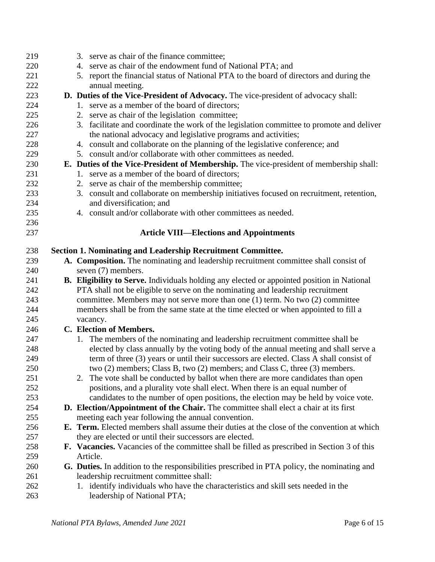| 219        | 3. serve as chair of the finance committee;                                                       |
|------------|---------------------------------------------------------------------------------------------------|
| 220        | 4. serve as chair of the endowment fund of National PTA; and                                      |
| 221        | 5. report the financial status of National PTA to the board of directors and during the           |
| 222        | annual meeting.                                                                                   |
| 223        | D. Duties of the Vice-President of Advocacy. The vice-president of advocacy shall:                |
| 224        | 1. serve as a member of the board of directors;                                                   |
| 225        | 2. serve as chair of the legislation committee;                                                   |
| 226        | 3. facilitate and coordinate the work of the legislation committee to promote and deliver         |
| 227        | the national advocacy and legislative programs and activities;                                    |
| 228        | 4. consult and collaborate on the planning of the legislative conference; and                     |
| 229        | 5. consult and/or collaborate with other committees as needed.                                    |
| 230        | E. Duties of the Vice-President of Membership. The vice-president of membership shall:            |
| 231        | 1. serve as a member of the board of directors;                                                   |
| 232        | 2. serve as chair of the membership committee;                                                    |
| 233        | 3. consult and collaborate on membership initiatives focused on recruitment, retention,           |
| 234        | and diversification; and                                                                          |
| 235        | 4. consult and/or collaborate with other committees as needed.                                    |
| 236        |                                                                                                   |
| 237        | <b>Article VIII—Elections and Appointments</b>                                                    |
|            |                                                                                                   |
| 238        | <b>Section 1. Nominating and Leadership Recruitment Committee.</b>                                |
| 239        | A. Composition. The nominating and leadership recruitment committee shall consist of              |
| 240        | seven (7) members.                                                                                |
| 241<br>242 | <b>B.</b> Eligibility to Serve. Individuals holding any elected or appointed position in National |
| 243        | PTA shall not be eligible to serve on the nominating and leadership recruitment                   |
| 244        | committee. Members may not serve more than one (1) term. No two (2) committee                     |
| 245        | members shall be from the same state at the time elected or when appointed to fill a              |
|            | vacancy.<br>C. Election of Members.                                                               |
| 246<br>247 | 1. The members of the nominating and leadership recruitment committee shall be                    |
| 248        | elected by class annually by the voting body of the annual meeting and shall serve a              |
| 249        | term of three (3) years or until their successors are elected. Class A shall consist of           |
| 250        | two (2) members; Class B, two (2) members; and Class C, three (3) members.                        |
| 251        | 2. The vote shall be conducted by ballot when there are more candidates than open                 |
| 252        | positions, and a plurality vote shall elect. When there is an equal number of                     |
| 253        | candidates to the number of open positions, the election may be held by voice vote.               |
| 254        | D. Election/Appointment of the Chair. The committee shall elect a chair at its first              |
| 255        | meeting each year following the annual convention.                                                |
| 256        | <b>E.</b> Term. Elected members shall assume their duties at the close of the convention at which |
| 257        | they are elected or until their successors are elected.                                           |
| 258        | F. Vacancies. Vacancies of the committee shall be filled as prescribed in Section 3 of this       |
| 259        | Article.                                                                                          |
| 260        | G. Duties. In addition to the responsibilities prescribed in PTA policy, the nominating and       |
| 261        | leadership recruitment committee shall:                                                           |
| 262        |                                                                                                   |
| 263        | 1. identify individuals who have the characteristics and skill sets needed in the                 |
|            | leadership of National PTA;                                                                       |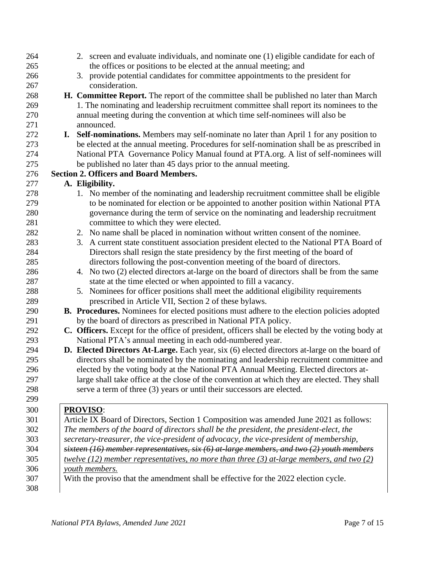| 264 | 2. screen and evaluate individuals, and nominate one (1) eligible candidate for each of           |
|-----|---------------------------------------------------------------------------------------------------|
| 265 | the offices or positions to be elected at the annual meeting; and                                 |
| 266 | 3. provide potential candidates for committee appointments to the president for                   |
| 267 | consideration.                                                                                    |
| 268 | H. Committee Report. The report of the committee shall be published no later than March           |
| 269 | 1. The nominating and leadership recruitment committee shall report its nominees to the           |
| 270 | annual meeting during the convention at which time self-nominees will also be                     |
| 271 | announced.                                                                                        |
| 272 | I. Self-nominations. Members may self-nominate no later than April 1 for any position to          |
| 273 | be elected at the annual meeting. Procedures for self-nomination shall be as prescribed in        |
| 274 | National PTA Governance Policy Manual found at PTA.org. A list of self-nominees will              |
| 275 | be published no later than 45 days prior to the annual meeting.                                   |
| 276 | <b>Section 2. Officers and Board Members.</b>                                                     |
| 277 | A. Eligibility.                                                                                   |
| 278 | 1. No member of the nominating and leadership recruitment committee shall be eligible             |
| 279 | to be nominated for election or be appointed to another position within National PTA              |
| 280 | governance during the term of service on the nominating and leadership recruitment                |
| 281 | committee to which they were elected.                                                             |
| 282 | 2. No name shall be placed in nomination without written consent of the nominee.                  |
| 283 | 3. A current state constituent association president elected to the National PTA Board of         |
| 284 | Directors shall resign the state presidency by the first meeting of the board of                  |
| 285 | directors following the post-convention meeting of the board of directors.                        |
| 286 | 4. No two (2) elected directors at-large on the board of directors shall be from the same         |
| 287 | state at the time elected or when appointed to fill a vacancy.                                    |
| 288 | 5. Nominees for officer positions shall meet the additional eligibility requirements              |
| 289 | prescribed in Article VII, Section 2 of these bylaws.                                             |
| 290 | <b>B. Procedures.</b> Nominees for elected positions must adhere to the election policies adopted |
| 291 | by the board of directors as prescribed in National PTA policy.                                   |
| 292 | C. Officers. Except for the office of president, officers shall be elected by the voting body at  |
| 293 | National PTA's annual meeting in each odd-numbered year.                                          |
| 294 | D. Elected Directors At-Large. Each year, six (6) elected directors at-large on the board of      |
| 295 | directors shall be nominated by the nominating and leadership recruitment committee and           |
| 296 | elected by the voting body at the National PTA Annual Meeting. Elected directors at-              |
| 297 | large shall take office at the close of the convention at which they are elected. They shall      |
| 298 | serve a term of three (3) years or until their successors are elected.                            |
| 299 |                                                                                                   |
| 300 | <b>PROVISO:</b>                                                                                   |
| 301 | Article IX Board of Directors, Section 1 Composition was amended June 2021 as follows:            |
| 302 | The members of the board of directors shall be the president, the president-elect, the            |
| 303 | secretary-treasurer, the vice-president of advocacy, the vice-president of membership,            |
| 304 | sixteen (16) member representatives, six $(6)$ at-large members, and two (2) youth members        |
| 305 | <u>twelve (12) member representatives, no more than three (3) at-large members, and two (2)</u>   |
| 306 | youth members.                                                                                    |
| 307 | With the proviso that the amendment shall be effective for the 2022 election cycle.               |
| 308 |                                                                                                   |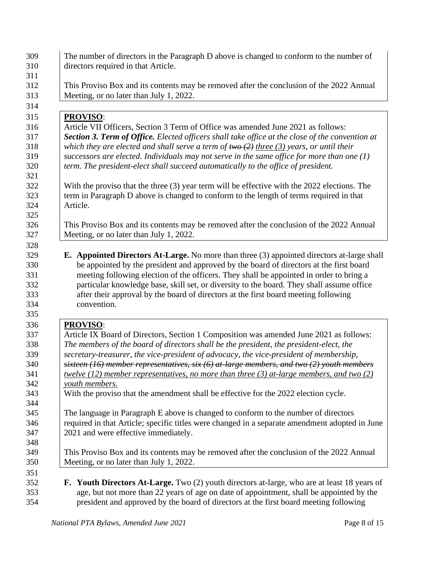| directors required in that Article.<br>This Proviso Box and its contents may be removed after the conclusion of the 2022 Annual<br>Meeting, or no later than July 1, 2022.<br><b>PROVISO:</b><br>Article VII Officers, Section 3 Term of Office was amended June 2021 as follows:<br><b>Section 3. Term of Office.</b> Elected officers shall take office at the close of the convention at |  |
|---------------------------------------------------------------------------------------------------------------------------------------------------------------------------------------------------------------------------------------------------------------------------------------------------------------------------------------------------------------------------------------------|--|
|                                                                                                                                                                                                                                                                                                                                                                                             |  |
|                                                                                                                                                                                                                                                                                                                                                                                             |  |
|                                                                                                                                                                                                                                                                                                                                                                                             |  |
|                                                                                                                                                                                                                                                                                                                                                                                             |  |
|                                                                                                                                                                                                                                                                                                                                                                                             |  |
|                                                                                                                                                                                                                                                                                                                                                                                             |  |
|                                                                                                                                                                                                                                                                                                                                                                                             |  |
|                                                                                                                                                                                                                                                                                                                                                                                             |  |
| which they are elected and shall serve a term of $\frac{f(w)}{f(w)}$ three (3) years, or until their                                                                                                                                                                                                                                                                                        |  |
| successors are elected. Individuals may not serve in the same office for more than one $(1)$                                                                                                                                                                                                                                                                                                |  |
| term. The president-elect shall succeed automatically to the office of president.                                                                                                                                                                                                                                                                                                           |  |
| With the proviso that the three (3) year term will be effective with the 2022 elections. The                                                                                                                                                                                                                                                                                                |  |
| term in Paragraph D above is changed to conform to the length of terms required in that                                                                                                                                                                                                                                                                                                     |  |
| Article.                                                                                                                                                                                                                                                                                                                                                                                    |  |
|                                                                                                                                                                                                                                                                                                                                                                                             |  |
| This Proviso Box and its contents may be removed after the conclusion of the 2022 Annual                                                                                                                                                                                                                                                                                                    |  |
| Meeting, or no later than July 1, 2022.                                                                                                                                                                                                                                                                                                                                                     |  |
| particular knowledge base, skill set, or diversity to the board. They shall assume office<br>after their approval by the board of directors at the first board meeting following<br>convention.                                                                                                                                                                                             |  |
| <b>PROVISO:</b>                                                                                                                                                                                                                                                                                                                                                                             |  |
| Article IX Board of Directors, Section 1 Composition was amended June 2021 as follows:                                                                                                                                                                                                                                                                                                      |  |
| The members of the board of directors shall be the president, the president-elect, the                                                                                                                                                                                                                                                                                                      |  |
| secretary-treasurer, the vice-president of advocacy, the vice-president of membership,                                                                                                                                                                                                                                                                                                      |  |
| sixteen (16) member representatives, six $(6)$ at-large members, and two (2) youth members                                                                                                                                                                                                                                                                                                  |  |
| twelve (12) member representatives, no more than three (3) at-large members, and two (2)                                                                                                                                                                                                                                                                                                    |  |
| youth members.                                                                                                                                                                                                                                                                                                                                                                              |  |
| With the proviso that the amendment shall be effective for the 2022 election cycle.                                                                                                                                                                                                                                                                                                         |  |
|                                                                                                                                                                                                                                                                                                                                                                                             |  |
| The language in Paragraph E above is changed to conform to the number of directors                                                                                                                                                                                                                                                                                                          |  |
| required in that Article; specific titles were changed in a separate amendment adopted in June                                                                                                                                                                                                                                                                                              |  |
| 2021 and were effective immediately.                                                                                                                                                                                                                                                                                                                                                        |  |
|                                                                                                                                                                                                                                                                                                                                                                                             |  |
| This Proviso Box and its contents may be removed after the conclusion of the 2022 Annual                                                                                                                                                                                                                                                                                                    |  |
| Meeting, or no later than July 1, 2022.                                                                                                                                                                                                                                                                                                                                                     |  |
|                                                                                                                                                                                                                                                                                                                                                                                             |  |
|                                                                                                                                                                                                                                                                                                                                                                                             |  |
| <b>F.</b> Youth Directors At-Large. Two (2) youth directors at-large, who are at least 18 years of                                                                                                                                                                                                                                                                                          |  |
| age, but not more than 22 years of age on date of appointment, shall be appointed by the                                                                                                                                                                                                                                                                                                    |  |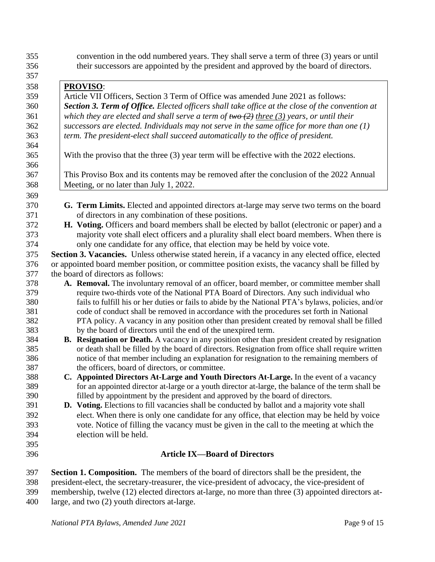convention in the odd numbered years. They shall serve a term of three (3) years or until their successors are appointed by the president and approved by the board of directors.

 **PROVISO**: Article VII Officers, Section 3 Term of Office was amended June 2021 as follows: *Section 3. Term of Office. Elected officers shall take office at the close of the convention at which they are elected and shall serve a term of two (2) three (3) years, or until their successors are elected. Individuals may not serve in the same office for more than one (1) term. The president-elect shall succeed automatically to the office of president.* With the proviso that the three (3) year term will be effective with the 2022 elections. This Proviso Box and its contents may be removed after the conclusion of the 2022 Annual Meeting, or no later than July 1, 2022. **G. Term Limits.** Elected and appointed directors at-large may serve two terms on the board of directors in any combination of these positions. **H. Voting.** Officers and board members shall be elected by ballot (electronic or paper) and a majority vote shall elect officers and a plurality shall elect board members. When there is only one candidate for any office, that election may be held by voice vote. **Section 3. Vacancies.** Unless otherwise stated herein, if a vacancy in any elected office, elected or appointed board member position, or committee position exists, the vacancy shall be filled by the board of directors as follows: **A. Removal.** The involuntary removal of an officer, board member, or committee member shall require two-thirds vote of the National PTA Board of Directors. Any such individual who fails to fulfill his or her duties or fails to abide by the National PTA's bylaws, policies, and/or code of conduct shall be removed in accordance with the procedures set forth in National PTA policy. A vacancy in any position other than president created by removal shall be filled by the board of directors until the end of the unexpired term. **B. Resignation or Death.** A vacancy in any position other than president created by resignation or death shall be filled by the board of directors. Resignation from office shall require written notice of that member including an explanation for resignation to the remaining members of the officers, board of directors, or committee. **C. Appointed Directors At-Large and Youth Directors At-Large.** In the event of a vacancy for an appointed director at-large or a youth director at-large, the balance of the term shall be filled by appointment by the president and approved by the board of directors. **D. Voting.** Elections to fill vacancies shall be conducted by ballot and a majority vote shall elect. When there is only one candidate for any office, that election may be held by voice vote. Notice of filling the vacancy must be given in the call to the meeting at which the election will be held.

## **Article IX—Board of Directors**

 **Section 1. Composition.** The members of the board of directors shall be the president, the president-elect, the secretary-treasurer, the vice-president of advocacy, the vice-president of membership, twelve (12) elected directors at-large, no more than three (3) appointed directors at-large, and two (2) youth directors at-large.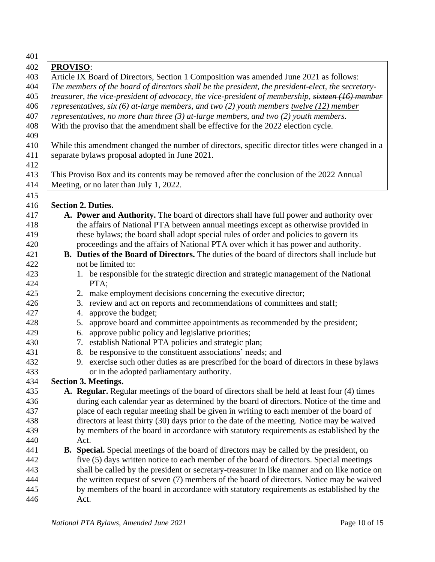| 401 |                                                                                                    |
|-----|----------------------------------------------------------------------------------------------------|
| 402 | <b>PROVISO:</b>                                                                                    |
| 403 | Article IX Board of Directors, Section 1 Composition was amended June 2021 as follows:             |
| 404 | The members of the board of directors shall be the president, the president-elect, the secretary-  |
| 405 | treasurer, the vice-president of advocacy, the vice-president of membership, sixteen (16) member   |
| 406 | representatives, six $(6)$ at-large members, and two $(2)$ youth members twelve (12) member        |
| 407 | representatives, no more than three $(3)$ at-large members, and two $(2)$ youth members.           |
| 408 | With the proviso that the amendment shall be effective for the 2022 election cycle.                |
| 409 |                                                                                                    |
| 410 | While this amendment changed the number of directors, specific director titles were changed in a   |
| 411 | separate bylaws proposal adopted in June 2021.                                                     |
| 412 |                                                                                                    |
| 413 | This Proviso Box and its contents may be removed after the conclusion of the 2022 Annual           |
| 414 | Meeting, or no later than July 1, 2022.                                                            |
| 415 |                                                                                                    |
| 416 | <b>Section 2. Duties.</b>                                                                          |
| 417 | A. Power and Authority. The board of directors shall have full power and authority over            |
| 418 | the affairs of National PTA between annual meetings except as otherwise provided in                |
| 419 | these bylaws; the board shall adopt special rules of order and policies to govern its              |
| 420 | proceedings and the affairs of National PTA over which it has power and authority.                 |
| 421 | <b>B.</b> Duties of the Board of Directors. The duties of the board of directors shall include but |
| 422 | not be limited to:                                                                                 |
| 423 | 1. be responsible for the strategic direction and strategic management of the National             |
| 424 | PTA;                                                                                               |
| 425 | 2. make employment decisions concerning the executive director;                                    |
| 426 | 3. review and act on reports and recommendations of committees and staff;                          |
| 427 | approve the budget;<br>4.                                                                          |
| 428 | approve board and committee appointments as recommended by the president;<br>5.                    |
| 429 | 6. approve public policy and legislative priorities;                                               |
| 430 | 7. establish National PTA policies and strategic plan;                                             |
| 431 | 8. be responsive to the constituent associations' needs; and                                       |
| 432 | 9. exercise such other duties as are prescribed for the board of directors in these bylaws         |
| 433 | or in the adopted parliamentary authority.                                                         |
| 434 | Section 3. Meetings.                                                                               |
| 435 | A. Regular. Regular meetings of the board of directors shall be held at least four (4) times       |
| 436 | during each calendar year as determined by the board of directors. Notice of the time and          |
| 437 | place of each regular meeting shall be given in writing to each member of the board of             |
| 438 | directors at least thirty (30) days prior to the date of the meeting. Notice may be waived         |
| 439 | by members of the board in accordance with statutory requirements as established by the            |
| 440 | Act.                                                                                               |
| 441 | <b>B.</b> Special. Special meetings of the board of directors may be called by the president, on   |
| 442 | five (5) days written notice to each member of the board of directors. Special meetings            |
| 443 | shall be called by the president or secretary-treasurer in like manner and on like notice on       |
| 444 | the written request of seven (7) members of the board of directors. Notice may be waived           |
| 445 | by members of the board in accordance with statutory requirements as established by the            |
| 446 | Act.                                                                                               |
|     |                                                                                                    |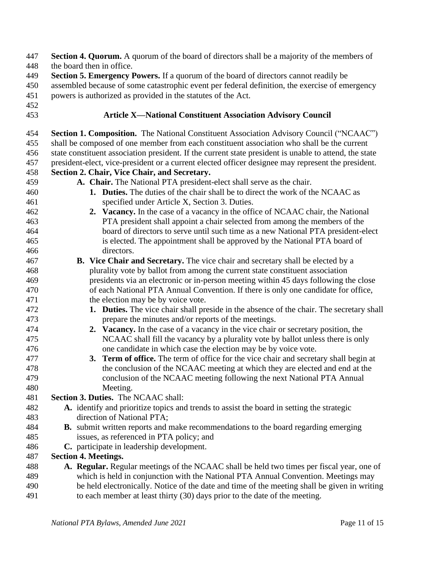| 447<br>448        | Section 4. Quorum. A quorum of the board of directors shall be a majority of the members of<br>the board then in office.                                                                                                                               |
|-------------------|--------------------------------------------------------------------------------------------------------------------------------------------------------------------------------------------------------------------------------------------------------|
| 449<br>450<br>451 | Section 5. Emergency Powers. If a quorum of the board of directors cannot readily be<br>assembled because of some catastrophic event per federal definition, the exercise of emergency<br>powers is authorized as provided in the statutes of the Act. |
| 452<br>453        | <b>Article X-National Constituent Association Advisory Council</b>                                                                                                                                                                                     |
| 454               | Section 1. Composition. The National Constituent Association Advisory Council ("NCAAC")                                                                                                                                                                |
| 455               | shall be composed of one member from each constituent association who shall be the current                                                                                                                                                             |
| 456               | state constituent association president. If the current state president is unable to attend, the state                                                                                                                                                 |
| 457               | president-elect, vice-president or a current elected officer designee may represent the president.                                                                                                                                                     |
| 458               | Section 2. Chair, Vice Chair, and Secretary.                                                                                                                                                                                                           |
| 459               | A. Chair. The National PTA president-elect shall serve as the chair.                                                                                                                                                                                   |
| 460               | <b>1.</b> Duties. The duties of the chair shall be to direct the work of the NCAAC as                                                                                                                                                                  |
| 461               | specified under Article X, Section 3. Duties.                                                                                                                                                                                                          |
| 462               | 2. Vacancy. In the case of a vacancy in the office of NCAAC chair, the National                                                                                                                                                                        |
| 463               | PTA president shall appoint a chair selected from among the members of the                                                                                                                                                                             |
| 464               | board of directors to serve until such time as a new National PTA president-elect                                                                                                                                                                      |
| 465               | is elected. The appointment shall be approved by the National PTA board of                                                                                                                                                                             |
| 466               | directors.                                                                                                                                                                                                                                             |
| 467               | B. Vice Chair and Secretary. The vice chair and secretary shall be elected by a                                                                                                                                                                        |
| 468               | plurality vote by ballot from among the current state constituent association                                                                                                                                                                          |
| 469               | presidents via an electronic or in-person meeting within 45 days following the close                                                                                                                                                                   |
| 470               | of each National PTA Annual Convention. If there is only one candidate for office,                                                                                                                                                                     |
| 471               | the election may be by voice vote.                                                                                                                                                                                                                     |
| 472               | 1. Duties. The vice chair shall preside in the absence of the chair. The secretary shall                                                                                                                                                               |
| 473               | prepare the minutes and/or reports of the meetings.                                                                                                                                                                                                    |
| 474<br>475        | 2. Vacancy. In the case of a vacancy in the vice chair or secretary position, the                                                                                                                                                                      |
| 476               | NCAAC shall fill the vacancy by a plurality vote by ballot unless there is only<br>one candidate in which case the election may be by voice vote.                                                                                                      |
| 477               | 3. Term of office. The term of office for the vice chair and secretary shall begin at                                                                                                                                                                  |
| 478               | the conclusion of the NCAAC meeting at which they are elected and end at the                                                                                                                                                                           |
| 479               | conclusion of the NCAAC meeting following the next National PTA Annual                                                                                                                                                                                 |
| 480               | Meeting.                                                                                                                                                                                                                                               |
| 481               | <b>Section 3. Duties.</b> The NCAAC shall:                                                                                                                                                                                                             |
| 482               | A. identify and prioritize topics and trends to assist the board in setting the strategic                                                                                                                                                              |
| 483               | direction of National PTA;                                                                                                                                                                                                                             |
| 484               | <b>B.</b> submit written reports and make recommendations to the board regarding emerging                                                                                                                                                              |
| 485               | issues, as referenced in PTA policy; and                                                                                                                                                                                                               |
| 486               | C. participate in leadership development.                                                                                                                                                                                                              |
| 487               | <b>Section 4. Meetings.</b>                                                                                                                                                                                                                            |
| 488               | A. Regular. Regular meetings of the NCAAC shall be held two times per fiscal year, one of                                                                                                                                                              |
| 489               | which is held in conjunction with the National PTA Annual Convention. Meetings may                                                                                                                                                                     |
| 490               | be held electronically. Notice of the date and time of the meeting shall be given in writing                                                                                                                                                           |
| 491               | to each member at least thirty (30) days prior to the date of the meeting.                                                                                                                                                                             |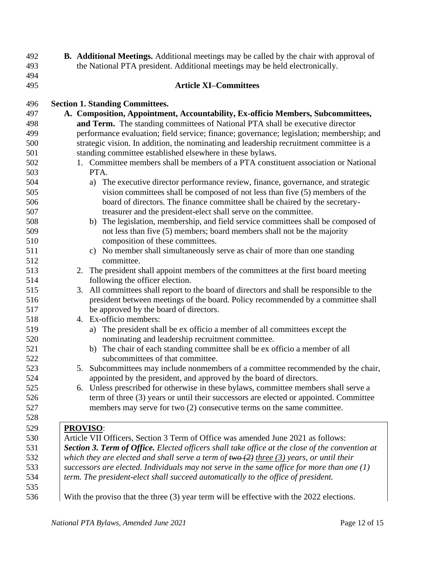| 492        | <b>B.</b> Additional Meetings. Additional meetings may be called by the chair with approval of                             |
|------------|----------------------------------------------------------------------------------------------------------------------------|
| 493        | the National PTA president. Additional meetings may be held electronically.                                                |
| 494        |                                                                                                                            |
| 495        | <b>Article XI-Committees</b>                                                                                               |
|            |                                                                                                                            |
| 496        | <b>Section 1. Standing Committees.</b>                                                                                     |
| 497        | A. Composition, Appointment, Accountability, Ex-officio Members, Subcommittees,                                            |
| 498        | and Term. The standing committees of National PTA shall be executive director                                              |
| 499        | performance evaluation; field service; finance; governance; legislation; membership; and                                   |
| 500        | strategic vision. In addition, the nominating and leadership recruitment committee is a                                    |
| 501        | standing committee established elsewhere in these bylaws.                                                                  |
| 502        | 1. Committee members shall be members of a PTA constituent association or National                                         |
| 503        | PTA.                                                                                                                       |
| 504        | The executive director performance review, finance, governance, and strategic<br>a)                                        |
| 505        | vision committees shall be composed of not less than five (5) members of the                                               |
| 506        | board of directors. The finance committee shall be chaired by the secretary-                                               |
| 507        | treasurer and the president-elect shall serve on the committee.                                                            |
| 508        | b) The legislation, membership, and field service committees shall be composed of                                          |
| 509        | not less than five (5) members; board members shall not be the majority                                                    |
| 510        | composition of these committees.                                                                                           |
| 511        | c) No member shall simultaneously serve as chair of more than one standing                                                 |
| 512        | committee.                                                                                                                 |
| 513        | 2. The president shall appoint members of the committees at the first board meeting                                        |
| 514<br>515 | following the officer election.                                                                                            |
| 516        | 3. All committees shall report to the board of directors and shall be responsible to the                                   |
| 517        | president between meetings of the board. Policy recommended by a committee shall<br>be approved by the board of directors. |
| 518        | 4. Ex-officio members:                                                                                                     |
| 519        | a) The president shall be ex officio a member of all committees except the                                                 |
| 520        | nominating and leadership recruitment committee.                                                                           |
| 521        | b) The chair of each standing committee shall be ex officio a member of all                                                |
| 522        | subcommittees of that committee.                                                                                           |
| 523        | 5. Subcommittees may include nonmembers of a committee recommended by the chair,                                           |
| 524        | appointed by the president, and approved by the board of directors.                                                        |
| 525        | 6. Unless prescribed for otherwise in these bylaws, committee members shall serve a                                        |
| 526        | term of three (3) years or until their successors are elected or appointed. Committee                                      |
| 527        | members may serve for two (2) consecutive terms on the same committee.                                                     |
| 528        |                                                                                                                            |
| 529        | <b>PROVISO:</b>                                                                                                            |
| 530        | Article VII Officers, Section 3 Term of Office was amended June 2021 as follows:                                           |
| 531        | <b>Section 3. Term of Office.</b> Elected officers shall take office at the close of the convention at                     |
| 532        | which they are elected and shall serve a term of $two(2)$ three (3) years, or until their                                  |
| 533        | successors are elected. Individuals may not serve in the same office for more than one $(1)$                               |
| 534        | term. The president-elect shall succeed automatically to the office of president.                                          |
| 535        |                                                                                                                            |
| 536        | With the proviso that the three (3) year term will be effective with the 2022 elections.                                   |
|            |                                                                                                                            |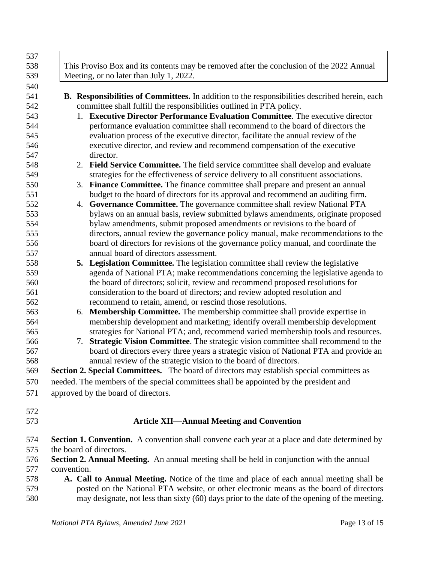| 537 |                                                                                                      |
|-----|------------------------------------------------------------------------------------------------------|
| 538 | This Proviso Box and its contents may be removed after the conclusion of the 2022 Annual             |
| 539 | Meeting, or no later than July 1, 2022.                                                              |
| 540 |                                                                                                      |
| 541 | B. Responsibilities of Committees. In addition to the responsibilities described herein, each        |
| 542 | committee shall fulfill the responsibilities outlined in PTA policy.                                 |
| 543 | 1. Executive Director Performance Evaluation Committee. The executive director                       |
| 544 | performance evaluation committee shall recommend to the board of directors the                       |
| 545 | evaluation process of the executive director, facilitate the annual review of the                    |
| 546 | executive director, and review and recommend compensation of the executive                           |
| 547 | director.                                                                                            |
| 548 | 2. Field Service Committee. The field service committee shall develop and evaluate                   |
| 549 | strategies for the effectiveness of service delivery to all constituent associations.                |
| 550 | Finance Committee. The finance committee shall prepare and present an annual<br>3.                   |
| 551 | budget to the board of directors for its approval and recommend an auditing firm.                    |
| 552 | 4. Governance Committee. The governance committee shall review National PTA                          |
| 553 | bylaws on an annual basis, review submitted bylaws amendments, originate proposed                    |
| 554 | bylaw amendments, submit proposed amendments or revisions to the board of                            |
| 555 | directors, annual review the governance policy manual, make recommendations to the                   |
| 556 | board of directors for revisions of the governance policy manual, and coordinate the                 |
| 557 | annual board of directors assessment.                                                                |
| 558 | 5. Legislation Committee. The legislation committee shall review the legislative                     |
| 559 | agenda of National PTA; make recommendations concerning the legislative agenda to                    |
| 560 | the board of directors; solicit, review and recommend proposed resolutions for                       |
| 561 | consideration to the board of directors; and review adopted resolution and                           |
| 562 | recommend to retain, amend, or rescind those resolutions.                                            |
| 563 | <b>Membership Committee.</b> The membership committee shall provide expertise in<br>6.               |
| 564 | membership development and marketing; identify overall membership development                        |
| 565 | strategies for National PTA; and, recommend varied membership tools and resources.                   |
| 566 | 7. Strategic Vision Committee. The strategic vision committee shall recommend to the                 |
| 567 | board of directors every three years a strategic vision of National PTA and provide an               |
| 568 | annual review of the strategic vision to the board of directors.                                     |
| 569 | Section 2. Special Committees. The board of directors may establish special committees as            |
| 570 | needed. The members of the special committees shall be appointed by the president and                |
|     |                                                                                                      |
| 571 | approved by the board of directors.                                                                  |
| 572 |                                                                                                      |
| 573 | <b>Article XII—Annual Meeting and Convention</b>                                                     |
|     |                                                                                                      |
| 574 | <b>Section 1. Convention.</b> A convention shall convene each year at a place and date determined by |
| 575 | the board of directors.                                                                              |
| 576 | Section 2. Annual Meeting. An annual meeting shall be held in conjunction with the annual            |
| 577 | convention.                                                                                          |
| 578 | A. Call to Annual Meeting. Notice of the time and place of each annual meeting shall be              |
| 579 | posted on the National PTA website, or other electronic means as the board of directors              |
| 580 | may designate, not less than sixty (60) days prior to the date of the opening of the meeting.        |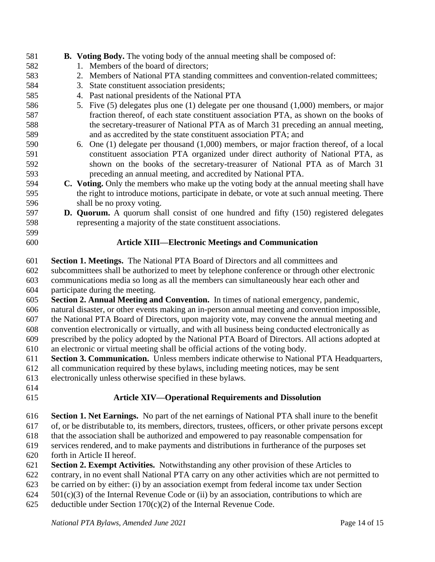| 585 | 4. Past national presidents of the National PTA                                                         |
|-----|---------------------------------------------------------------------------------------------------------|
| 586 | 5. Five (5) delegates plus one (1) delegate per one thousand (1,000) members, or major                  |
| 587 | fraction thereof, of each state constituent association PTA, as shown on the books of                   |
| 588 | the secretary-treasurer of National PTA as of March 31 preceding an annual meeting,                     |
| 589 | and as accredited by the state constituent association PTA; and                                         |
| 590 | 6. One (1) delegate per thousand (1,000) members, or major fraction thereof, of a local                 |
| 591 | constituent association PTA organized under direct authority of National PTA, as                        |
| 592 | shown on the books of the secretary-treasurer of National PTA as of March 31                            |
| 593 | preceding an annual meeting, and accredited by National PTA.                                            |
| 594 | C. Voting. Only the members who make up the voting body at the annual meeting shall have                |
| 595 | the right to introduce motions, participate in debate, or vote at such annual meeting. There            |
| 596 | shall be no proxy voting.                                                                               |
| 597 | <b>D. Quorum.</b> A quorum shall consist of one hundred and fifty (150) registered delegates            |
| 598 | representing a majority of the state constituent associations.                                          |
| 599 |                                                                                                         |
| 600 | <b>Article XIII—Electronic Meetings and Communication</b>                                               |
| 601 | Section 1. Meetings. The National PTA Board of Directors and all committees and                         |
| 602 | subcommittees shall be authorized to meet by telephone conference or through other electronic           |
| 603 | communications media so long as all the members can simultaneously hear each other and                  |
| 604 | participate during the meeting.                                                                         |
| 605 | Section 2. Annual Meeting and Convention. In times of national emergency, pandemic,                     |
| 606 | natural disaster, or other events making an in-person annual meeting and convention impossible,         |
| 607 | the National PTA Board of Directors, upon majority vote, may convene the annual meeting and             |
| 608 | convention electronically or virtually, and with all business being conducted electronically as         |
| 609 | prescribed by the policy adopted by the National PTA Board of Directors. All actions adopted at         |
| 610 | an electronic or virtual meeting shall be official actions of the voting body.                          |
| 611 | Section 3. Communication. Unless members indicate otherwise to National PTA Headquarters,               |
| 612 | all communication required by these bylaws, including meeting notices, may be sent                      |
| 613 | electronically unless otherwise specified in these bylaws.                                              |
| 614 |                                                                                                         |
| 615 | <b>Article XIV-Operational Requirements and Dissolution</b>                                             |
| 616 | <b>Section 1. Net Earnings.</b> No part of the net earnings of National PTA shall inure to the benefit  |
| 617 | of, or be distributable to, its members, directors, trustees, officers, or other private persons except |
| 618 | that the association shall be authorized and empowered to pay reasonable compensation for               |
| 619 | services rendered, and to make payments and distributions in furtherance of the purposes set            |
| 620 | forth in Article II hereof.                                                                             |
| 621 | Section 2. Exempt Activities. Notwithstanding any other provision of these Articles to                  |
| 622 | contrary, in no event shall National PTA carry on any other activities which are not permitted to       |
| 623 | be carried on by either: (i) by an association exempt from federal income tax under Section             |
| 624 | $501(c)(3)$ of the Internal Revenue Code or (ii) by an association, contributions to which are          |
| 625 | deductible under Section $170(c)(2)$ of the Internal Revenue Code.                                      |
|     | National PTA Bylaws, Amended June 2021<br>Page 14 of 15                                                 |

# **581 B. Voting Body.** The voting body of the annual meeting shall be composed of:<br>582 1. Members of the board of directors;

- 582 1. Members of the board of directors;<br>583 2. Members of National PTA standing
- 2. Members of National PTA standing committees and convention-related committees;
- 3. State constituent association presidents;
	-
- **C. Voting.** Only the members who make up the voting body at the annual meeting shall have the right to introduce motions, participate in debate, or vote at such annual meeting. There
-